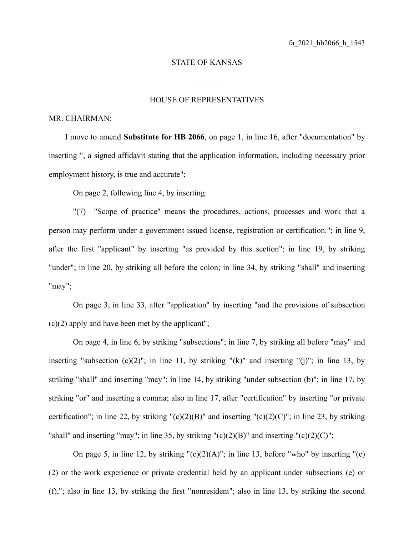## STATE OF KANSAS

 $\mathcal{L}_\text{max}$ 

## HOUSE OF REPRESENTATIVES

## MR. CHAIRMAN:

I move to amend **Substitute for HB 2066**, on page 1, in line 16, after "documentation" by inserting ", a signed affidavit stating that the application information, including necessary prior employment history, is true and accurate";

On page 2, following line 4, by inserting:

"(7) "Scope of practice" means the procedures, actions, processes and work that a person may perform under a government issued license, registration or certification."; in line 9, after the first "applicant" by inserting "as provided by this section"; in line 19, by striking "under"; in line 20, by striking all before the colon; in line 34, by striking "shall" and inserting "may";

On page 3, in line 33, after "application" by inserting "and the provisions of subsection  $(c)(2)$  apply and have been met by the applicant";

On page 4, in line 6, by striking "subsections"; in line 7, by striking all before "may" and inserting "subsection  $(c)(2)$ "; in line 11, by striking " $(k)$ " and inserting " $(i)$ "; in line 13, by striking "shall" and inserting "may"; in line 14, by striking "under subsection (b)"; in line 17, by striking "or" and inserting a comma; also in line 17, after "certification" by inserting "or private certification"; in line 22, by striking " $(c)(2)(B)$ " and inserting " $(c)(2)(C)$ "; in line 23, by striking "shall" and inserting "may"; in line 35, by striking " $(c)(2)(B)$ " and inserting " $(c)(2)(C)$ ";

On page 5, in line 12, by striking " $(c)(2)(A)$ "; in line 13, before "who" by inserting " $(c)$ (2) or the work experience or private credential held by an applicant under subsections (e) or (f),"; also in line 13, by striking the first "nonresident"; also in line 13, by striking the second